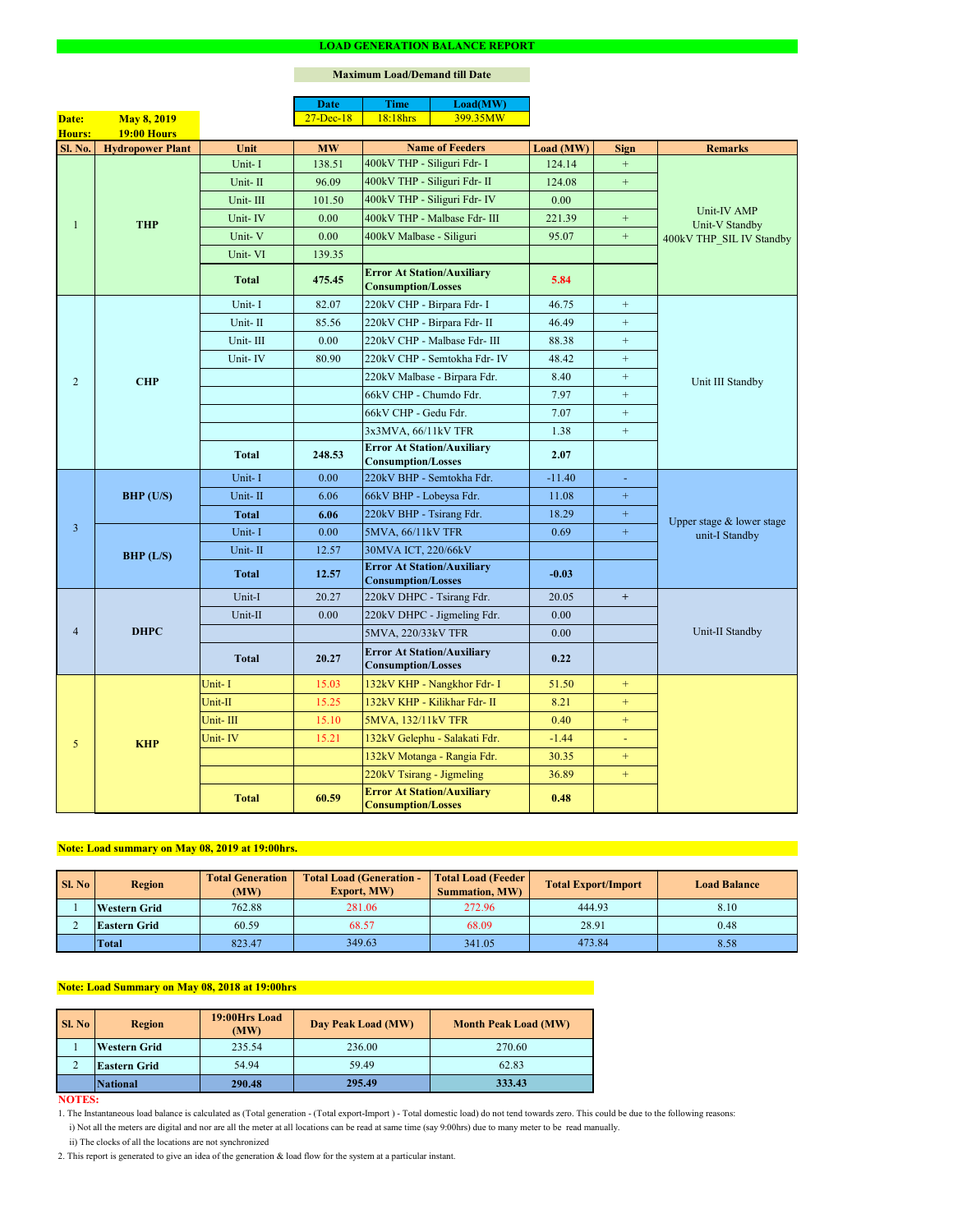#### **NOTES:**

|                 |                         |              | <b>Date</b>   | <b>Time</b>                                                    | Load(MW)                      |           |                  |                                                           |  |
|-----------------|-------------------------|--------------|---------------|----------------------------------------------------------------|-------------------------------|-----------|------------------|-----------------------------------------------------------|--|
| Date:           | <b>May 8, 2019</b>      |              | $27 - Dec-18$ | 18:18hrs                                                       | 399.35MW                      |           |                  |                                                           |  |
| Hours:          | <b>19:00 Hours</b>      |              |               |                                                                |                               |           |                  |                                                           |  |
| <b>Sl. No.</b>  | <b>Hydropower Plant</b> | Unit         | <b>MW</b>     |                                                                | <b>Name of Feeders</b>        | Load (MW) | <b>Sign</b>      | <b>Remarks</b>                                            |  |
|                 |                         | Unit-I       | 138.51        | 400kV THP - Siliguri Fdr- I                                    |                               | 124.14    | $\boldsymbol{+}$ |                                                           |  |
|                 |                         | Unit-II      | 96.09         | 400kV THP - Siliguri Fdr- II                                   |                               | 124.08    | $\boldsymbol{+}$ |                                                           |  |
|                 |                         | Unit-III     | 101.50        |                                                                | 400kV THP - Siliguri Fdr- IV  | 0.00      |                  |                                                           |  |
|                 | <b>THP</b>              | Unit-IV      | 0.00          |                                                                | 400kV THP - Malbase Fdr- III  | 221.39    | $\boldsymbol{+}$ | Unit-IV AMP<br>Unit-V Standby<br>400kV THP_SIL IV Standby |  |
|                 |                         | Unit-V       | 0.00          | 400kV Malbase - Siliguri                                       |                               | 95.07     | $\boldsymbol{+}$ |                                                           |  |
|                 |                         | Unit-VI      | 139.35        |                                                                |                               |           |                  |                                                           |  |
|                 |                         | <b>Total</b> | 475.45        | <b>Error At Station/Auxiliary</b><br><b>Consumption/Losses</b> |                               | 5.84      |                  |                                                           |  |
|                 |                         | Unit-I       | 82.07         | 220kV CHP - Birpara Fdr- I                                     |                               | 46.75     | $\boldsymbol{+}$ |                                                           |  |
|                 |                         | Unit-II      | 85.56         | 220kV CHP - Birpara Fdr- II                                    |                               | 46.49     | $+$              |                                                           |  |
|                 |                         | Unit-III     | 0.00          |                                                                | 220kV CHP - Malbase Fdr- III  | 88.38     | $+$              |                                                           |  |
|                 |                         | Unit-IV      | 80.90         |                                                                | 220kV CHP - Semtokha Fdr- IV  | 48.42     | $\boldsymbol{+}$ |                                                           |  |
| $\overline{2}$  | <b>CHP</b>              |              |               |                                                                | 220kV Malbase - Birpara Fdr.  | 8.40      | $+$              | Unit III Standby                                          |  |
|                 |                         |              |               | 66kV CHP - Chumdo Fdr.                                         |                               | 7.97      | $\boldsymbol{+}$ |                                                           |  |
|                 |                         |              |               | 66kV CHP - Gedu Fdr.                                           |                               | 7.07      | $+$              |                                                           |  |
|                 |                         |              |               | 3x3MVA, 66/11kV TFR                                            |                               | 1.38      | $\boldsymbol{+}$ |                                                           |  |
|                 |                         | <b>Total</b> | 248.53        | <b>Error At Station/Auxiliary</b><br><b>Consumption/Losses</b> |                               | 2.07      |                  |                                                           |  |
|                 | $BHP$ (U/S)             | Unit-I       | 0.00          | 220kV BHP - Semtokha Fdr.                                      |                               | $-11.40$  | $\blacksquare$   |                                                           |  |
|                 |                         | Unit-II      | 6.06          | 66kV BHP - Lobeysa Fdr.                                        |                               | 11.08     | $\boldsymbol{+}$ |                                                           |  |
|                 |                         | <b>Total</b> | 6.06          | 220kV BHP - Tsirang Fdr.                                       |                               | 18.29     | $+$              | Upper stage & lower stage<br>unit-I Standby               |  |
| $\overline{3}$  |                         | Unit-I       | 0.00          | 5MVA, 66/11kV TFR                                              |                               | 0.69      | $\pm$            |                                                           |  |
|                 | BHP (L/S)               | Unit-II      | 12.57         | 30MVA ICT, 220/66kV                                            |                               |           |                  |                                                           |  |
|                 |                         | <b>Total</b> | 12.57         | <b>Error At Station/Auxiliary</b><br><b>Consumption/Losses</b> |                               | $-0.03$   |                  |                                                           |  |
|                 | <b>DHPC</b>             | Unit-I       | 20.27         | 220kV DHPC - Tsirang Fdr.                                      |                               | 20.05     | $+$              |                                                           |  |
|                 |                         | Unit-II      | 0.00          |                                                                | 220kV DHPC - Jigmeling Fdr.   | 0.00      |                  |                                                           |  |
| $\overline{4}$  |                         |              |               | 5MVA, 220/33kV TFR                                             |                               | 0.00      |                  | Unit-II Standby                                           |  |
|                 |                         | <b>Total</b> | 20.27         | <b>Error At Station/Auxiliary</b><br><b>Consumption/Losses</b> |                               | 0.22      |                  |                                                           |  |
|                 |                         | Unit-I       | 15.03         |                                                                | 132kV KHP - Nangkhor Fdr- I   | 51.50     | $+$              |                                                           |  |
|                 |                         | Unit-II      | 15.25         |                                                                | 132kV KHP - Kilikhar Fdr- II  | 8.21      | $+$              |                                                           |  |
|                 | <b>KHP</b>              | Unit-III     | 15.10         | 5MVA, 132/11kV TFR                                             |                               | 0.40      | $+$              |                                                           |  |
| $5\overline{)}$ |                         | Unit-IV      | 15.21         |                                                                | 132kV Gelephu - Salakati Fdr. | $-1.44$   | ÷                |                                                           |  |
|                 |                         |              |               |                                                                | 132kV Motanga - Rangia Fdr.   | 30.35     | $+$              |                                                           |  |
|                 |                         |              |               | 220kV Tsirang - Jigmeling                                      |                               | 36.89     | $+$              |                                                           |  |
|                 |                         | <b>Total</b> | 60.59         | <b>Error At Station/Auxiliary</b><br><b>Consumption/Losses</b> |                               | 0.48      |                  |                                                           |  |

#### **LOAD GENERATION BALANCE REPORT**

| Sl. No | <b>Total Generation</b><br><b>Region</b><br>(MW) |        | <b>Total Load (Generation -</b><br><b>Export, MW)</b> | <b>Total Load (Feeder)</b><br><b>Summation, MW)</b> | <b>Total Export/Import</b> | <b>Load Balance</b> |
|--------|--------------------------------------------------|--------|-------------------------------------------------------|-----------------------------------------------------|----------------------------|---------------------|
|        | 762.88<br><b>Western Grid</b>                    |        | 281.06                                                | 272.96                                              | 444.93                     | 8.10                |
|        | 60.59<br><b>Eastern Grid</b>                     |        | 68.57                                                 | 28.91<br>68.09                                      |                            | 0.48                |
|        | Total                                            | 823.47 | 349.63                                                | 341.05                                              | 473.84                     | 8.58                |

| SI. No | <b>Region</b>       | 19:00Hrs Load<br>(MW) | Day Peak Load (MW) | <b>Month Peak Load (MW)</b> |  |  |
|--------|---------------------|-----------------------|--------------------|-----------------------------|--|--|
|        | <b>Western Grid</b> | 235.54                | 236.00             | 270.60                      |  |  |
|        | <b>Eastern Grid</b> | 54.94                 | 59.49              | 62.83                       |  |  |
|        | <i>National</i>     | 290.48                | 295.49             | 333.43                      |  |  |

# **Note: Load Summary on May 08, 2018 at 19:00hrs**

# **Note: Load summary on May 08, 2019 at 19:00hrs.**

- 1. The Instantaneous load balance is calculated as (Total generation (Total export-Import ) Total domestic load) do not tend towards zero. This could be due to the following reasons:
	- i) Not all the meters are digital and nor are all the meter at all locations can be read at same time (say 9:00hrs) due to many meter to be read manually.
	- ii) The clocks of all the locations are not synchronized
- 2. This report is generated to give an idea of the generation & load flow for the system at a particular instant.

### **Maximum Load/Demand till Date**